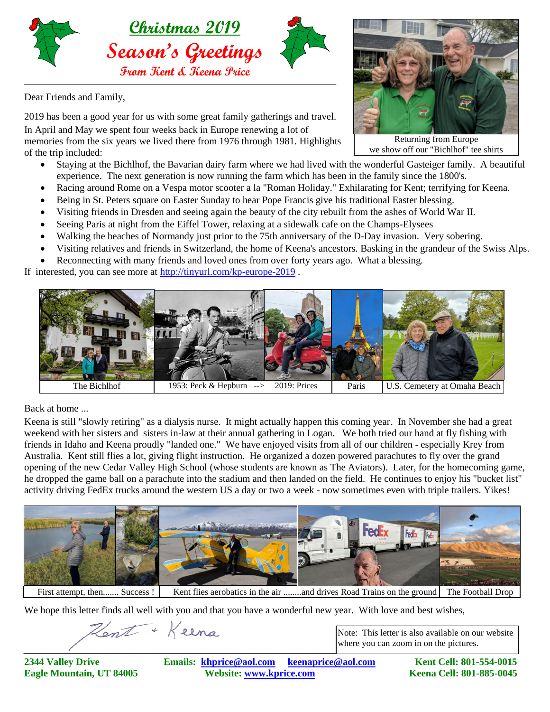

Dear Friends and Family,

2019 has been a good year for us with some great family gatherings and travel. In April and May we spent four weeks back in Europe renewing a lot of memories from the six years we lived there from 1976 through 1981. Highlights of the trip included:

- Staying at the Bichlhof, the Bavarian dairy farm where we had lived with the wonderful Gasteiger family. A beautiful experience. The next generation is now running the farm which has been in the family since the 1800's.
- Racing around Rome on a Vespa motor scooter a la "Roman Holiday." Exhilarating for Kent; terrifying for Keena.
- Being in St. Peters square on Easter Sunday to hear Pope Francis give his traditional Easter blessing.
- Visiting friends in Dresden and seeing again the beauty of the city rebuilt from the ashes of World War II.
- Seeing Paris at night from the Eiffel Tower, relaxing at a sidewalk cafe on the Champs-Elysees
- Walking the beaches of Normandy just prior to the 75th anniversary of the D-Day invasion. Very sobering.
- Visiting relatives and friends in Switzerland, the home of Keena's ancestors. Basking in the grandeur of the Swiss Alps.
- Reconnecting with many friends and loved ones from over forty years ago. What a blessing.

If interested, you can see more at<http://tinyurl.com/kp-europe-2019> .



Back at home ...

Keena is still "slowly retiring" as a dialysis nurse. It might actually happen this coming year. In November she had a great weekend with her sisters and sisters in-law at their annual gathering in Logan. We both tried our hand at fly fishing with friends in Idaho and Keena proudly "landed one." We have enjoyed visits from all of our children - especially Krey from Australia. Kent still flies a lot, giving flight instruction. He organized a dozen powered parachutes to fly over the grand opening of the new Cedar Valley High School (whose students are known as The Aviators). Later, for the homecoming game, he dropped the game ball on a parachute into the stadium and then landed on the field. He continues to enjoy his "bucket list" activity driving FedEx trucks around the western US a day or two a week - now sometimes even with triple trailers. Yikes!



First attempt, then....... Success! Kent flies aerobatics in the air ........and drives Road Trains on the ground The Football Drop

We hope this letter finds all well with you and that you have a wonderful new year. With love and best wishes,

Hent + Keena

Note: This letter is also available on our website where you can zoom in on the pictures.